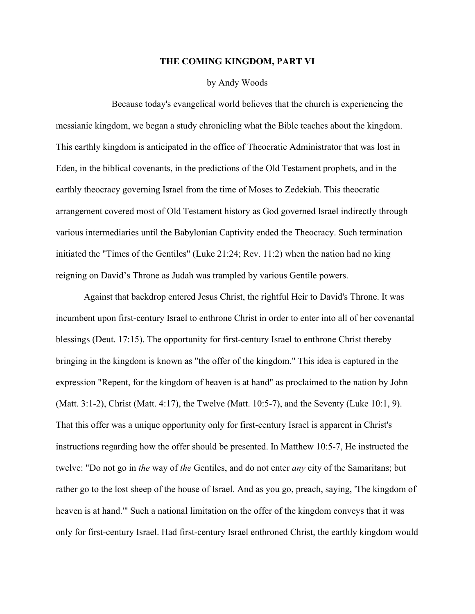## **THE COMING KINGDOM, PART VI**

by Andy Woods

Because today's evangelical world believes that the church is experiencing the messianic kingdom, we began a study chronicling what the Bible teaches about the kingdom. This earthly kingdom is anticipated in the office of Theocratic Administrator that was lost in Eden, in the biblical covenants, in the predictions of the Old Testament prophets, and in the earthly theocracy governing Israel from the time of Moses to Zedekiah. This theocratic arrangement covered most of Old Testament history as God governed Israel indirectly through various intermediaries until the Babylonian Captivity ended the Theocracy. Such termination initiated the "Times of the Gentiles" (Luke 21:24; Rev. 11:2) when the nation had no king reigning on David's Throne as Judah was trampled by various Gentile powers.

Against that backdrop entered Jesus Christ, the rightful Heir to David's Throne. It was incumbent upon first-century Israel to enthrone Christ in order to enter into all of her covenantal blessings (Deut. 17:15). The opportunity for first-century Israel to enthrone Christ thereby bringing in the kingdom is known as "the offer of the kingdom." This idea is captured in the expression "Repent, for the kingdom of heaven is at hand" as proclaimed to the nation by John (Matt. 3:1-2), Christ (Matt. 4:17), the Twelve (Matt. 10:5-7), and the Seventy (Luke 10:1, 9). That this offer was a unique opportunity only for first-century Israel is apparent in Christ's instructions regarding how the offer should be presented. In Matthew 10:5-7, He instructed the twelve: "Do not go in *the* way of *the* Gentiles, and do not enter *any* city of the Samaritans; but rather go to the lost sheep of the house of Israel. And as you go, preach, saying, 'The kingdom of heaven is at hand.'" Such a national limitation on the offer of the kingdom conveys that it was only for first-century Israel. Had first-century Israel enthroned Christ, the earthly kingdom would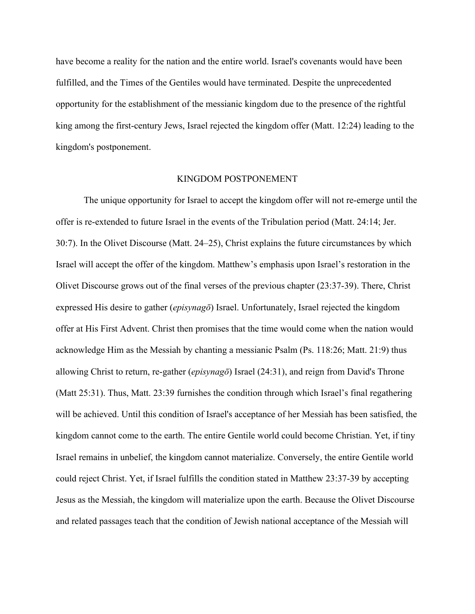have become a reality for the nation and the entire world. Israel's covenants would have been fulfilled, and the Times of the Gentiles would have terminated. Despite the unprecedented opportunity for the establishment of the messianic kingdom due to the presence of the rightful king among the first-century Jews, Israel rejected the kingdom offer (Matt. 12:24) leading to the kingdom's postponement.

## KINGDOM POSTPONEMENT

The unique opportunity for Israel to accept the kingdom offer will not re-emerge until the offer is re-extended to future Israel in the events of the Tribulation period (Matt. 24:14; Jer. 30:7). In the Olivet Discourse (Matt. 24‒25), Christ explains the future circumstances by which Israel will accept the offer of the kingdom. Matthew's emphasis upon Israel's restoration in the Olivet Discourse grows out of the final verses of the previous chapter (23:37-39). There, Christ expressed His desire to gather (*episynagō*) Israel. Unfortunately, Israel rejected the kingdom offer at His First Advent. Christ then promises that the time would come when the nation would acknowledge Him as the Messiah by chanting a messianic Psalm (Ps. 118:26; Matt. 21:9) thus allowing Christ to return, re-gather (*episynagō*) Israel (24:31), and reign from David's Throne (Matt 25:31). Thus, Matt. 23:39 furnishes the condition through which Israel's final regathering will be achieved. Until this condition of Israel's acceptance of her Messiah has been satisfied, the kingdom cannot come to the earth. The entire Gentile world could become Christian. Yet, if tiny Israel remains in unbelief, the kingdom cannot materialize. Conversely, the entire Gentile world could reject Christ. Yet, if Israel fulfills the condition stated in Matthew 23:37-39 by accepting Jesus as the Messiah, the kingdom will materialize upon the earth. Because the Olivet Discourse and related passages teach that the condition of Jewish national acceptance of the Messiah will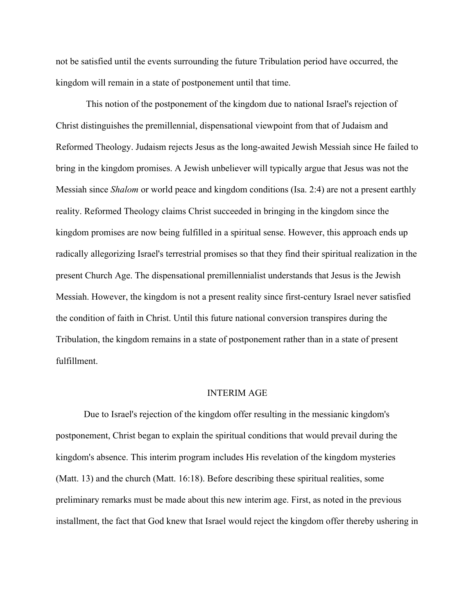not be satisfied until the events surrounding the future Tribulation period have occurred, the kingdom will remain in a state of postponement until that time.

This notion of the postponement of the kingdom due to national Israel's rejection of Christ distinguishes the premillennial, dispensational viewpoint from that of Judaism and Reformed Theology. Judaism rejects Jesus as the long-awaited Jewish Messiah since He failed to bring in the kingdom promises. A Jewish unbeliever will typically argue that Jesus was not the Messiah since *Shalom* or world peace and kingdom conditions (Isa. 2:4) are not a present earthly reality. Reformed Theology claims Christ succeeded in bringing in the kingdom since the kingdom promises are now being fulfilled in a spiritual sense. However, this approach ends up radically allegorizing Israel's terrestrial promises so that they find their spiritual realization in the present Church Age. The dispensational premillennialist understands that Jesus is the Jewish Messiah. However, the kingdom is not a present reality since first-century Israel never satisfied the condition of faith in Christ. Until this future national conversion transpires during the Tribulation, the kingdom remains in a state of postponement rather than in a state of present fulfillment.

## INTERIM AGE

Due to Israel's rejection of the kingdom offer resulting in the messianic kingdom's postponement, Christ began to explain the spiritual conditions that would prevail during the kingdom's absence. This interim program includes His revelation of the kingdom mysteries (Matt. 13) and the church (Matt. 16:18). Before describing these spiritual realities, some preliminary remarks must be made about this new interim age. First, as noted in the previous installment, the fact that God knew that Israel would reject the kingdom offer thereby ushering in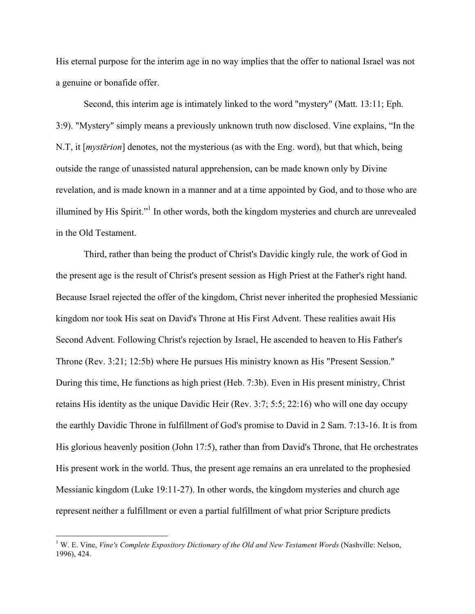His eternal purpose for the interim age in no way implies that the offer to national Israel was not a genuine or bonafide offer.

Second, this interim age is intimately linked to the word "mystery" (Matt. 13:11; Eph. 3:9). "Mystery" simply means a previously unknown truth now disclosed. Vine explains, "In the N.T, it [*mystērion*] denotes, not the mysterious (as with the Eng. word), but that which, being outside the range of unassisted natural apprehension, can be made known only by Divine revelation, and is made known in a manner and at a time appointed by God, and to those who are illumined by His Spirit."1 In other words, both the kingdom mysteries and church are unrevealed in the Old Testament.

Third, rather than being the product of Christ's Davidic kingly rule, the work of God in the present age is the result of Christ's present session as High Priest at the Father's right hand. Because Israel rejected the offer of the kingdom, Christ never inherited the prophesied Messianic kingdom nor took His seat on David's Throne at His First Advent. These realities await His Second Advent. Following Christ's rejection by Israel, He ascended to heaven to His Father's Throne (Rev. 3:21; 12:5b) where He pursues His ministry known as His "Present Session." During this time, He functions as high priest (Heb. 7:3b). Even in His present ministry, Christ retains His identity as the unique Davidic Heir (Rev. 3:7; 5:5; 22:16) who will one day occupy the earthly Davidic Throne in fulfillment of God's promise to David in 2 Sam. 7:13-16. It is from His glorious heavenly position (John 17:5), rather than from David's Throne, that He orchestrates His present work in the world. Thus, the present age remains an era unrelated to the prophesied Messianic kingdom (Luke 19:11-27). In other words, the kingdom mysteries and church age represent neither a fulfillment or even a partial fulfillment of what prior Scripture predicts

 <sup>1</sup> W. E. Vine, *Vine's Complete Expository Dictionary of the Old and New Testament Words* (Nashville: Nelson, 1996), 424.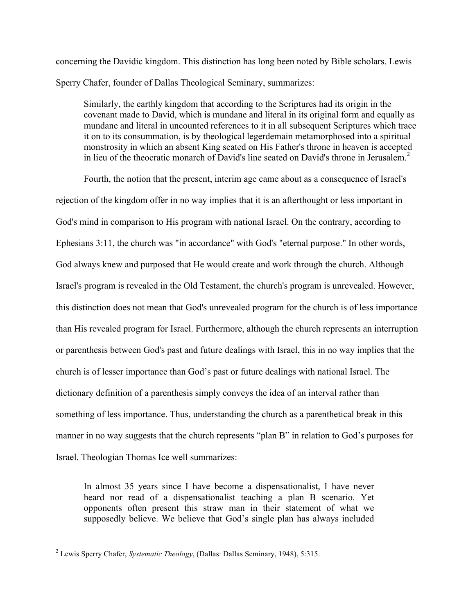concerning the Davidic kingdom. This distinction has long been noted by Bible scholars. Lewis Sperry Chafer, founder of Dallas Theological Seminary, summarizes:

Similarly, the earthly kingdom that according to the Scriptures had its origin in the covenant made to David, which is mundane and literal in its original form and equally as mundane and literal in uncounted references to it in all subsequent Scriptures which trace it on to its consummation, is by theological legerdemain metamorphosed into a spiritual monstrosity in which an absent King seated on His Father's throne in heaven is accepted in lieu of the theocratic monarch of David's line seated on David's throne in Jerusalem.<sup>2</sup>

Fourth, the notion that the present, interim age came about as a consequence of Israel's rejection of the kingdom offer in no way implies that it is an afterthought or less important in God's mind in comparison to His program with national Israel. On the contrary, according to Ephesians 3:11, the church was "in accordance" with God's "eternal purpose." In other words, God always knew and purposed that He would create and work through the church. Although Israel's program is revealed in the Old Testament, the church's program is unrevealed. However, this distinction does not mean that God's unrevealed program for the church is of less importance than His revealed program for Israel. Furthermore, although the church represents an interruption or parenthesis between God's past and future dealings with Israel, this in no way implies that the church is of lesser importance than God's past or future dealings with national Israel. The dictionary definition of a parenthesis simply conveys the idea of an interval rather than something of less importance. Thus, understanding the church as a parenthetical break in this manner in no way suggests that the church represents "plan B" in relation to God's purposes for Israel. Theologian Thomas Ice well summarizes:

In almost 35 years since I have become a dispensationalist, I have never heard nor read of a dispensationalist teaching a plan B scenario. Yet opponents often present this straw man in their statement of what we supposedly believe. We believe that God's single plan has always included

 <sup>2</sup> Lewis Sperry Chafer, *Systematic Theology*, (Dallas: Dallas Seminary, 1948), 5:315.